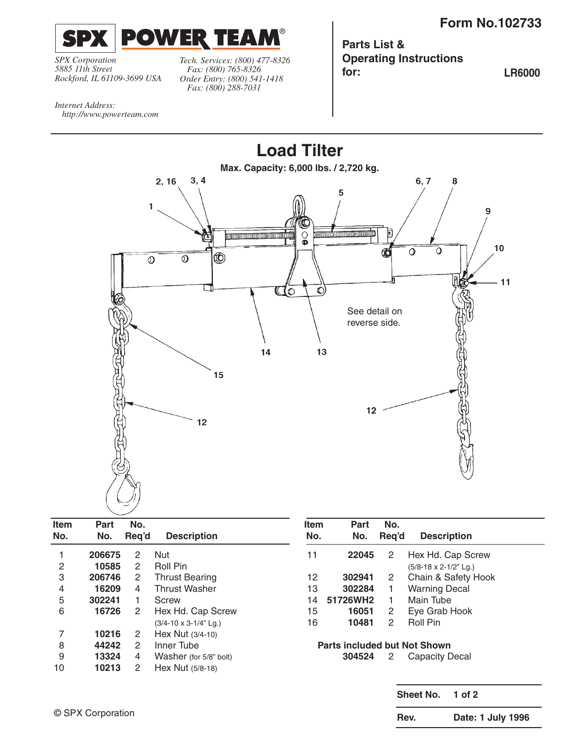

*SPX Corporation 5885 11th Street Rockford, IL 61109-3699 USA* *Tech. Services: (800) 477-8326 Fax: (800) 765-8326 Order Entry: (800) 541-1418 Fax: (800) 288-7031*

**Parts List & Operating Instructions for: LR6000**

*Internet Address: http://www.powerteam.com*



| <b>Item</b><br>No. | Part<br>No. | No.<br>Reg'd         | <b>Description</b>               | <b>Item</b><br>No. | Part<br>No.                         | No.<br>Reg'd          | <b>Description</b>               |
|--------------------|-------------|----------------------|----------------------------------|--------------------|-------------------------------------|-----------------------|----------------------------------|
|                    | 206675      | 2                    | <b>Nut</b>                       | 11                 | 22045                               | $\mathbf{2}^{\circ}$  | Hex Hd. Cap Screw                |
| 2                  | 10585       | 2                    | Roll Pin                         |                    |                                     |                       | $(5/8 - 18 \times 2 - 1/2"$ Lg.) |
| 3                  | 206746      | $\mathbf{2}^{\circ}$ | <b>Thrust Bearing</b>            | 12                 | 302941                              | $\mathbf{2}^{\circ}$  | Chain & Safety Hook              |
| 4                  | 16209       | 4                    | <b>Thrust Washer</b>             | 13                 | 302284                              | 1.                    | <b>Warning Decal</b>             |
| 5                  | 302241      |                      | Screw                            | 14                 | 51726WH2                            | 1.                    | Main Tube                        |
| 6                  | 16726       | 2                    | Hex Hd. Cap Screw                | 15                 | 16051                               | $\mathbf{2}^{\prime}$ | Eye Grab Hook                    |
|                    |             |                      | $(3/4 - 10 \times 3 - 1/4"$ Lg.) | 16                 | 10481                               | $\mathbf{2}^{\circ}$  | Roll Pin                         |
| 7                  | 10216       | 2                    | Hex Nut $(3/4-10)$               |                    |                                     |                       |                                  |
| 8                  | 44242       | 2                    | Inner Tube                       |                    | <b>Parts included but Not Shown</b> |                       |                                  |
| 9                  | 13324       | 4                    | Washer (for 5/8" bolt)           |                    | 304524                              | $\overline{2}$        | Capacity Decal                   |
| 10                 | 10213       | 2                    | Hex Nut (5/8-18)                 |                    |                                     |                       |                                  |
|                    |             |                      |                                  |                    |                                     |                       |                                  |

**Sheet No. 1 of 2**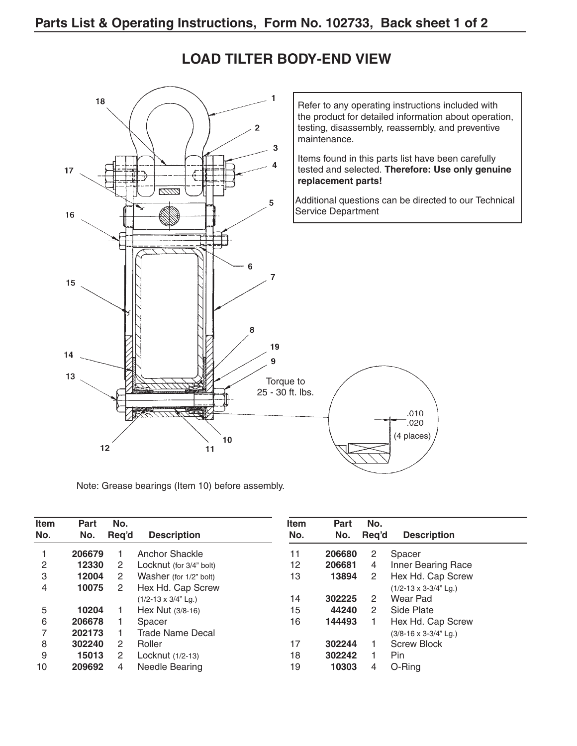

### **LOAD TILTER BODY-END VIEW**

Note: Grease bearings (Item 10) before assembly.

| Item<br>No. | <b>Part</b><br>No. | No.<br>Reg'd | <b>Description</b>           | <b>Item</b><br>No. | Part<br>No. | No.<br>Req'd | <b>Description</b>    |
|-------------|--------------------|--------------|------------------------------|--------------------|-------------|--------------|-----------------------|
|             | 206679             |              | Anchor Shackle               | 11                 | 206680      | 2            | Spacer                |
| 2           | 12330              | 2            | Locknut (for 3/4" bolt)      | 12                 | 206681      | 4            | Inner Bearing Race    |
| 3           | 12004              | 2            | Washer (for 1/2" bolt)       | 13                 | 13894       | 2            | Hex Hd. Cap Screw     |
| 4           | 10075              | 2            | Hex Hd. Cap Screw            |                    |             |              | (1/2-13 x 3-3/4" Lg.) |
|             |                    |              | $(1/2 - 13 \times 3/4"$ Lg.) | 14                 | 302225      | 2            | Wear Pad              |
| 5           | 10204              |              | Hex Nut $(3/8-16)$           | 15                 | 44240       | 2            | Side Plate            |
| 6           | 206678             |              | Spacer                       | 16                 | 144493      |              | Hex Hd. Cap Screw     |
|             | 202173             |              | <b>Trade Name Decal</b>      |                    |             |              | (3/8-16 x 3-3/4" Lg.) |
| 8           | 302240             | 2            | Roller                       | 17                 | 302244      |              | <b>Screw Block</b>    |
| 9           | 15013              | 2            | Locknut (1/2-13)             | 18                 | 302242      |              | <b>Pin</b>            |
| 10          | 209692             | 4            | Needle Bearing               | 19                 | 10303       | 4            | O-Ring                |